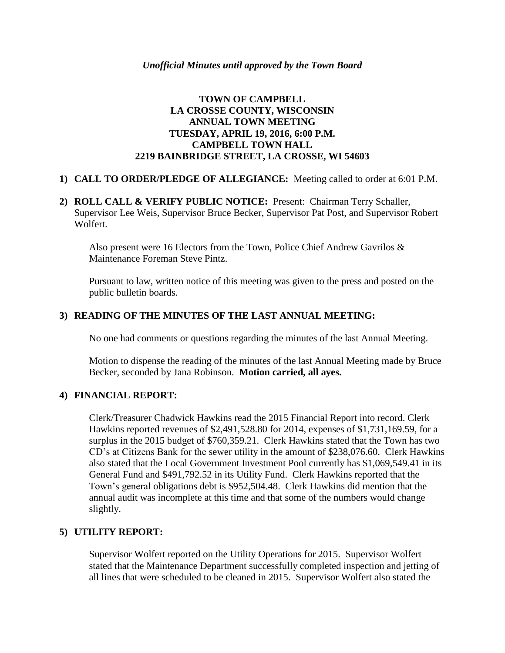# **TOWN OF CAMPBELL LA CROSSE COUNTY, WISCONSIN ANNUAL TOWN MEETING TUESDAY, APRIL 19, 2016, 6:00 P.M. CAMPBELL TOWN HALL 2219 BAINBRIDGE STREET, LA CROSSE, WI 54603**

## **1) CALL TO ORDER/PLEDGE OF ALLEGIANCE:** Meeting called to order at 6:01 P.M.

**2) ROLL CALL & VERIFY PUBLIC NOTICE:** Present: Chairman Terry Schaller, Supervisor Lee Weis, Supervisor Bruce Becker, Supervisor Pat Post, and Supervisor Robert Wolfert.

Also present were 16 Electors from the Town, Police Chief Andrew Gavrilos & Maintenance Foreman Steve Pintz.

Pursuant to law, written notice of this meeting was given to the press and posted on the public bulletin boards.

# **3) READING OF THE MINUTES OF THE LAST ANNUAL MEETING:**

No one had comments or questions regarding the minutes of the last Annual Meeting.

Motion to dispense the reading of the minutes of the last Annual Meeting made by Bruce Becker, seconded by Jana Robinson. **Motion carried, all ayes.**

#### **4) FINANCIAL REPORT:**

Clerk/Treasurer Chadwick Hawkins read the 2015 Financial Report into record. Clerk Hawkins reported revenues of \$2,491,528.80 for 2014, expenses of \$1,731,169.59, for a surplus in the 2015 budget of \$760,359.21. Clerk Hawkins stated that the Town has two CD's at Citizens Bank for the sewer utility in the amount of \$238,076.60. Clerk Hawkins also stated that the Local Government Investment Pool currently has \$1,069,549.41 in its General Fund and \$491,792.52 in its Utility Fund. Clerk Hawkins reported that the Town's general obligations debt is \$952,504.48. Clerk Hawkins did mention that the annual audit was incomplete at this time and that some of the numbers would change slightly.

#### **5) UTILITY REPORT:**

Supervisor Wolfert reported on the Utility Operations for 2015. Supervisor Wolfert stated that the Maintenance Department successfully completed inspection and jetting of all lines that were scheduled to be cleaned in 2015. Supervisor Wolfert also stated the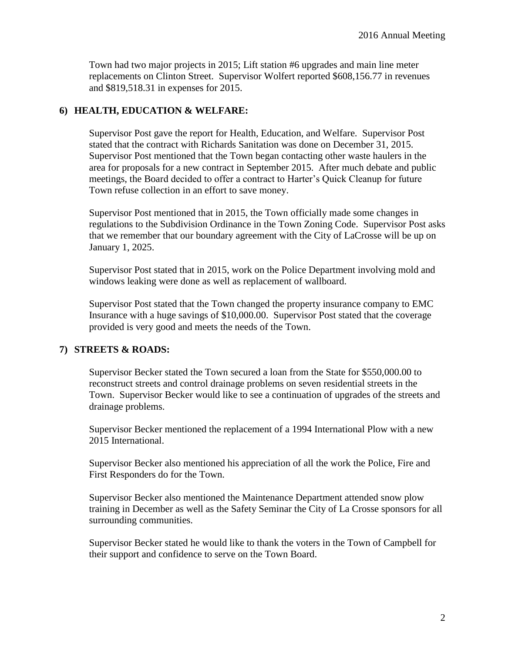Town had two major projects in 2015; Lift station #6 upgrades and main line meter replacements on Clinton Street. Supervisor Wolfert reported \$608,156.77 in revenues and \$819,518.31 in expenses for 2015.

## **6) HEALTH, EDUCATION & WELFARE:**

Supervisor Post gave the report for Health, Education, and Welfare. Supervisor Post stated that the contract with Richards Sanitation was done on December 31, 2015. Supervisor Post mentioned that the Town began contacting other waste haulers in the area for proposals for a new contract in September 2015. After much debate and public meetings, the Board decided to offer a contract to Harter's Quick Cleanup for future Town refuse collection in an effort to save money.

Supervisor Post mentioned that in 2015, the Town officially made some changes in regulations to the Subdivision Ordinance in the Town Zoning Code. Supervisor Post asks that we remember that our boundary agreement with the City of LaCrosse will be up on January 1, 2025.

Supervisor Post stated that in 2015, work on the Police Department involving mold and windows leaking were done as well as replacement of wallboard.

Supervisor Post stated that the Town changed the property insurance company to EMC Insurance with a huge savings of \$10,000.00. Supervisor Post stated that the coverage provided is very good and meets the needs of the Town.

# **7) STREETS & ROADS:**

Supervisor Becker stated the Town secured a loan from the State for \$550,000.00 to reconstruct streets and control drainage problems on seven residential streets in the Town. Supervisor Becker would like to see a continuation of upgrades of the streets and drainage problems.

Supervisor Becker mentioned the replacement of a 1994 International Plow with a new 2015 International.

Supervisor Becker also mentioned his appreciation of all the work the Police, Fire and First Responders do for the Town.

Supervisor Becker also mentioned the Maintenance Department attended snow plow training in December as well as the Safety Seminar the City of La Crosse sponsors for all surrounding communities.

Supervisor Becker stated he would like to thank the voters in the Town of Campbell for their support and confidence to serve on the Town Board.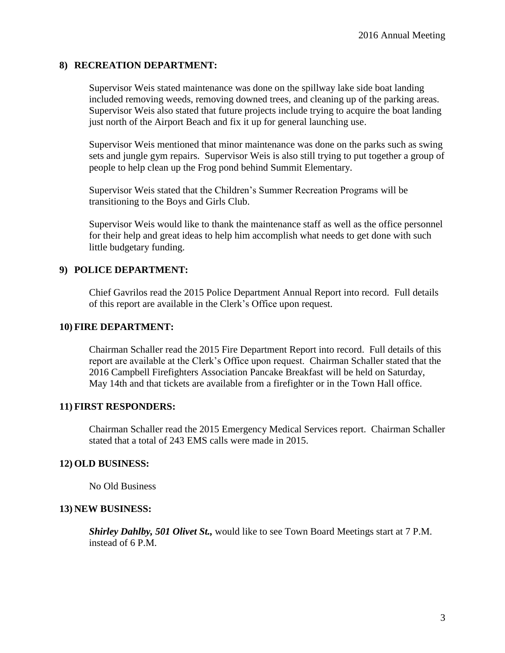#### **8) RECREATION DEPARTMENT:**

Supervisor Weis stated maintenance was done on the spillway lake side boat landing included removing weeds, removing downed trees, and cleaning up of the parking areas. Supervisor Weis also stated that future projects include trying to acquire the boat landing just north of the Airport Beach and fix it up for general launching use.

Supervisor Weis mentioned that minor maintenance was done on the parks such as swing sets and jungle gym repairs. Supervisor Weis is also still trying to put together a group of people to help clean up the Frog pond behind Summit Elementary.

Supervisor Weis stated that the Children's Summer Recreation Programs will be transitioning to the Boys and Girls Club.

Supervisor Weis would like to thank the maintenance staff as well as the office personnel for their help and great ideas to help him accomplish what needs to get done with such little budgetary funding.

## **9) POLICE DEPARTMENT:**

Chief Gavrilos read the 2015 Police Department Annual Report into record. Full details of this report are available in the Clerk's Office upon request.

#### **10) FIRE DEPARTMENT:**

Chairman Schaller read the 2015 Fire Department Report into record. Full details of this report are available at the Clerk's Office upon request. Chairman Schaller stated that the 2016 Campbell Firefighters Association Pancake Breakfast will be held on Saturday, May 14th and that tickets are available from a firefighter or in the Town Hall office.

#### **11) FIRST RESPONDERS:**

Chairman Schaller read the 2015 Emergency Medical Services report. Chairman Schaller stated that a total of 243 EMS calls were made in 2015.

#### **12) OLD BUSINESS:**

No Old Business

#### **13) NEW BUSINESS:**

*Shirley Dahlby, 501 Olivet St.,* would like to see Town Board Meetings start at 7 P.M. instead of 6 P.M.